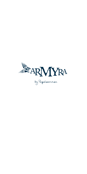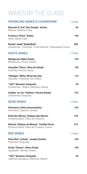# WINES BY THE GLASS

| <b>SPARKLING WINES &amp; CHAMPAGNE</b>                                                      | <b>125ML</b> |
|---------------------------------------------------------------------------------------------|--------------|
| Moscato D' Asti "San Giorgio", Arione.<br>Muscat. Piedmont, Italy.                          | 9€           |
| Prosecco "Divici", Botter.<br>Glera. Veneto, Italy.                                         | 10€          |
| Perrier-Jouët "Grand Brut".<br>Chardonnay - Pinot Noir - Pinot Meunier. Champagne, France.  | 22€          |
| <b>WHITE WINES</b>                                                                          | <b>175ML</b> |
| Malagouzia Alpha Estate.<br>Malagouzia. Florina, Greece.                                    | 12€          |
| Assyrtiko "Plano", Wine Art Estate.<br>Assyrtiko. Drama, Greece.                            | 13€          |
| "Dialogos" White, Ktima Dyo Ipsi.<br>Assyrtiko - Kidonitsa. Ilia, Greece.                   | 11€          |
| "1827" Navarino Vineyards.<br>Chardonnay - Roditis. Messinia, Greece.                       | 9€           |
| <b>Chablis 1er Cru "Vaillons" Vincent Dampt.</b><br>Chardonnay. Burgundy.                   | 21€          |
| <b>ROSÉ WINES</b>                                                                           | <b>175ML</b> |
| Xinomavro, Ktima Gerovassiliou.<br>Xinomavro. Epanomi, Greece.                              | 14€          |
| Rosé des Marres, Château des Marres.<br>Provence blend. Côtes de Provence.                  | 15€          |
| Miraval, Château de Miraval - Famille Perrin.<br>Provence blend. Côtes de Provence, France. | 21€          |
| <b>RED WINES</b>                                                                            | <b>175ML</b> |
| Pinot Noir "Laforet", Joseph Drouhin.<br>Pinot Noir. Burgundy.                              | 19€          |
| Driopi "Classic", Ktima Driopi.<br>Agiorgitiko. Nemea, Greece.                              | 10€          |
| "1827" Navarino Vineyards.<br>Cabernet Sauvignon. Messinia, Greece.                         | 9€           |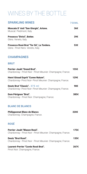# WINES BY THE ΒΟTTLE

| <b>SPARKLING WINES</b>                                                                                  | <b>750ML</b> |
|---------------------------------------------------------------------------------------------------------|--------------|
| Moscato D' Asti "San Giorgio", Arione.<br>Muscat. Piedmont, Italy.                                      | 36€          |
| Prosecco "Divici", Botter.<br>Glera. Veneto, Italy.                                                     | 39€          |
| Prosecco Rosé Brut "Tor Sè", La Tordera.<br>Glera - Pinot Nero. Veneto, Italy.                          | 53€          |
| <b>CHAMPAGNES</b>                                                                                       |              |
| <b>BRUT</b>                                                                                             |              |
| Perrier-Jouët "Grand Brut".<br>Chardonnay - Pinot Noir - Pinot Meunier. Champagne, France.              | 155€         |
| <b>Henri Giraud Esprit "Cuvee Nature".</b><br>Chardonnay- Pinot Noir- Pinot Meunier. Champagne, France. | 129€         |
| Deutz Brut "Classic". 375 ml<br>Chardonnay- Pinot Noir- Pinot Meunier. Champagne, France.               | 98€          |
| Dom Pérignon "Brut".<br>Chardonnay - Pinot Noir. Champagne, France.                                     | 385€         |
| <b>BLANC DE BLANCS</b>                                                                                  |              |
| <b>Philipponnat Blanc de Blancs</b><br>Chardonnay. Champagne, France.                                   | 220€         |
| <b>ROSÉ</b>                                                                                             |              |
| Perrier-Jouët "Blason Rosé".<br>Chardonnay - Pinot Noir - Pinot Meunier. Champagne, France.             | 175€         |
| Deutz "Brut Rosé".<br>Chardonnay - Pinot Noir - Pinot Meunier. Champagne, France.                       | 135€         |
| <b>Laurent-Perrier "Cuvée Rosé Brut".</b><br>Pinot Noir. Champagne, France.                             | 267€         |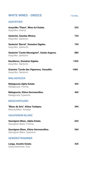| <b>WHITE WINES - GREECE</b>                                            | <b>750ML</b> |
|------------------------------------------------------------------------|--------------|
| <b>ASSYRTIKO</b>                                                       |              |
| Assyrtiko "Plano", Wine Art Estate.<br>Assyrtiko. Drama.               | 52€          |
| <b>Santorini, Gavalas Winery.</b><br>Assyrtiko. Santorini.             | 72€          |
| <b>Santorini "Barrel", Domaine Sigalas.</b><br>Assyrtiko. Santorini.   | 79€          |
| Santorini "Cuvée Monsignori", Estate Argyros.<br>Assyrtiko. Santorini. | 88€          |
| <b>Kavalieros, Domaine Sigalas.</b><br>Assyrtiko. Santorini.           | 135€         |
| Gramina "Cuvée des Vignerons, Vassaltis.<br>Assyrtiko. Santorini.      | 148€         |
| <b>MALAGOUZIA</b>                                                      |              |
| <b>Malagouzia Alpha Estate.</b><br>Malagouzia. Florina.                | 45€          |
| Malagouzia, Ktima Gerovassiliou.<br>Malagouzia. Epanomi.               | 46€          |
| <b>MOSCHOFILERO</b>                                                    |              |
| "Blanc de Gris", Ktima Tselepos.<br>Moschofilero, Arcadia.             | 39€          |
| <b>SAUVIGNON BLANC</b>                                                 |              |
| <b>Sauvignon Blanc, Alpha Estate.</b><br>Sauvignon Blanc. Florina.     | 62€          |
| Sauvignon Blanc, Ktima Gerovassiliou.<br>Sauvignon Blanc. Epanomi.     | 56€          |
| <b>GEWÜRZTRAMINER</b>                                                  |              |
| <b>Lenga, Avantis Estate.</b><br>Gewürztraminer. Evia.                 | 42€          |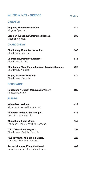| <b>WHITE WINES - GREECE</b>                                                 | <b>750ML</b> |
|-----------------------------------------------------------------------------|--------------|
| <b>VIOGNIER</b>                                                             |              |
| Viognier, Ktima Gerovassiliou.<br>Viognier. Epanomi.                        | 68€          |
| Viognier, "Eclectique". Domaine Skouras.<br>Viognier. Argolida.             | 68€          |
| <b>CHARDONNAY</b>                                                           |              |
| Chardonnay, Ktima Gerovassiliou.<br>Chardonnay. Epanomi.                    | 66€          |
| <b>Chardonnay, Domaine Katsaros.</b><br>Chardonnay. Krania.                 | 64€          |
| Chardonnay "Dum Vinum Sperum", Domaine Skouras.<br>Chardonnay. Argolida.    | 72€          |
| Kotyle, Navarino Vineyards.<br>Chardonnay. Messinia.                        | 52€          |
| <b>ROUSSANNE</b>                                                            |              |
| Roussanne "Nostos", Manousakis Winery.<br>Roussanne. Crete.                 | 62€          |
| <b>BLENDS</b>                                                               |              |
| Ktima Gerovassiliou.<br>Malagouzia - Assyrtiko. Epanomi.                    | 42€          |
| "Dialogos" White, Ktima Dyo Ipsi.<br>Assyrtiko - Kidonitsa. Ilia.           | 43€          |
| <b>Ktima Biblia Chora White.</b><br>Sauvignon Blanc - Assyrtiko. Pangeon.   | 46€          |
| "1827" Navarino Vineyards.<br>Chardonnay - Roditis. Messinia.               | 35€          |
| "Ovilos" White, Ktima Biblia Chora.<br>Assyrtiko - Sémillon. Pangeon.       | 72€          |
| Tesseris Limnes, Ktima Kir-Yianni.<br>Gewürztraminer - Chardonnay. Florina. | 46€          |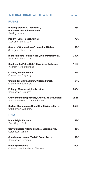| <b>INTERNATIONAL WHITE WINES</b>                                                                   | <b>750ML</b> |
|----------------------------------------------------------------------------------------------------|--------------|
| <b>FRANCE</b>                                                                                      |              |
| <b>Riesling Grand Cru "Rosacker",</b><br><b>Domaine Christophe Mittnacht.</b><br>Riesling. Alsace. | 88€          |
| <b>Pouilly-Fumé, Pascal Jolivet.</b><br>Sauvignon Blanc. Loire.                                    | 75€          |
| Sancerre "Grande Cuvée", Jean-Paul Balland.<br>Sauvignon Blanc. Loire.                             | 89€          |
| Blanc Fumé De Pouilly "Silex", Didier Dagueneau.<br>Sauvignon Blanc. Loire.                        | 282€         |
| Condrieu "La Petite Côte", Cave Yves Cuilleron.<br>Viognier. Northern Rhône.                       | 118€         |
| <b>Chablis, Vincent Dampt.</b><br>Chardonnay. Burgundy.                                            | 69€          |
| <b>Chablis 1er Cru "Vaillons", Vincent Dampt.</b><br>Chardonnay. Burgundy.                         | 91€          |
| <b>Puligny- Montrachet, Louis Latour.</b><br>Chardonnay. Burgundy.                                 | 260€         |
| <b>Chateuneuf du Pape Blanc, Chateau de Beaucastel.</b><br>Roussanne Blend. Southern Rhone.        | 292€         |
| <b>Corton-Charlemagne Grand Cru, Olivier Leflaive.</b><br>Chardonnay. Burgundy.                    | 558€         |
| <b>ITALY</b>                                                                                       |              |
| <b>Pinot Grigio, Lis Neris.</b><br>Pinot Grigio. Friuli.                                           | 53€          |
| Soave Classico "Monte Grande", Graziano Prà.<br>Garganega. Veneto.                                 | 86€          |
| <b>Chardonnay Langhe "Cadet", Bruno Rocca.</b><br>Chardonnay. Piedmont.                            | 89€          |
| <b>Batàr, Querciabella.</b><br>Chardonnay - Pinot Blanc. Tuscany.                                  | 190€         |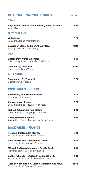| <b>INTERNATIONAL WHITE WINES</b>                                                              | <b>750ML</b> |
|-----------------------------------------------------------------------------------------------|--------------|
| <b>SPAIN</b>                                                                                  |              |
| Rioja Blanco "Plácet Valtomelloso", Álvaro Palacios.<br>Viura. Rioja.                         | 84€          |
| <b>NEW ZEALAND</b>                                                                            |              |
| Whitehaven.<br>Sauvignon Blanc. Marlborough.                                                  | 52€          |
| <b>Sauvignon Blanc "Te Koko", Cloudy Bay.</b><br>Sauvignon Blanc. Marlborough.                | 184€         |
| <b>USA</b>                                                                                    |              |
| <b>Chardonnay, Wente Vineyards</b><br>Chardonnay. Livermore Valley, California.               | 66€          |
| <b>Chardonnay, Duckhorn.</b><br>Chardonnay. Napa Valley.                                      | 120€         |
| <b>ARGENTINA</b>                                                                              |              |
| Chardonnay "Q", Zuccardi.<br>Chardonnay. Mendoza.                                             | 72€          |
| <b>ROSÉ WINES - GREECE</b>                                                                    |              |
| Xinomavro, Ktima Gerovassiliou.<br>Xinomavro. Epanomi.                                        | 51€          |
| <b>Amuse, Muses Estate.</b><br>Sauvignon Blanc - Mouhtaro. Thebes.                            | 52€          |
| Idylle d'Achinos, La Tour Melas.<br>Grenache - Syrah - Agiorgitiko. Phthiotis.                | 62€          |
| Peplo, Domaine Skouras.<br>Agiorgitiko - Syrah - Mavrofilero. Peloponnese.                    | 56€          |
| <b>ROSÉ WINES - FRANCE</b>                                                                    |              |
| Prestige, Château des Marres.<br>Provence blend. Côtes de Provence.                           | 79€          |
| Rose des Marres, Château des Marres.<br>Provence blend. Côtes de Provence.                    | 57€          |
| Miraval, Château de Miraval - Famille Perrin.<br>Provence blend. Côtes de Provence.           | 86€          |
| <b>Bandol "Château Romassan", Domaines OTT.</b><br>Provence blend. Bandol, Côtes de Provence. | 98€          |
| "Clos de Capelune" Cru Classe, Château Saint-Maur.<br>Provence blend. Côtes de Provence.      | 155€         |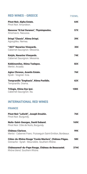| <b>RED WINES - GREECE</b>                                                                             | <b>750ML</b> |
|-------------------------------------------------------------------------------------------------------|--------------|
| <b>Pinot Noir, Alpha Estate.</b><br>Pinot Noir. Amyndeon.                                             | 64€          |
| Naoussa "Gi kai Ouranos", Thymiopoulos.<br>Xinomavro, Naoussa.                                        | 57€          |
| Driopi "Classic", Ktima Driopi.<br>Agiorgitiko. Nemea.                                                | 39€          |
| "1827" Navarino Vineyards.<br>Cabernet Sauvignon. Messinia.                                           | 35€          |
| Kotyle, Navarino Vineyards.<br>Cabernet Sauvignon. Messinia.                                          | 74€          |
| Kokkinomilos, Ktima Tselepos.<br>Merlot. Arcadia.                                                     | 82€          |
| <b>Agios Chronos, Avantis Estate.</b><br>Syrah - Viognier. Evia.                                      | 76€          |
| Tempranillo "Emphasis", Ktima Pavlidis.<br>Tempranillo. Drama.                                        | 62€          |
| Trilogia, Ktima Dyo Ipsi.<br>Cabernet Sauvignon. Ilia.                                                | 108€         |
| <b>INTERNATIONAL RED WINES</b>                                                                        |              |
| <b>FRANCE</b>                                                                                         |              |
| Pinot Noir "Laforêt", Joseph Drouhin.<br>Pinot Noir. Burgundy.                                        | 76€          |
| <b>Nuits-Saint-Georges, David Duband.</b><br>Pinot Noir. Côte de Nuits, Burgundy.                     | 169€         |
| <b>Château Clarisse.</b><br>Merlot - Cabernet Franc. Puisseguin Saint-Emilion, Bordeaux.              | 99€          |
| Côtes-du-Rhône Rouge "Cuvée Maclura", Château Pégau.<br>Grenache - Syrah - Mourvèdre. Southern Rhône. | 58€          |
| Châteaunair du Dana Dauge, Château de Deauear                                                         |              |

Châteauneuf-du-Pape Rouge, Château de Beaucastel. 374€ Rhône blend. Southern Rhône.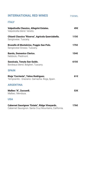### **ΙΝΤΕRNATIONAL RED WINES**

750ML

#### **ITALY**

| Valpolicella Classico, Allegrini Estates.<br>Valpolicella blend. Veneto.                                      | 49€  |
|---------------------------------------------------------------------------------------------------------------|------|
| Chianti Classico "Riserva", Agricola Querciabella.<br>Sangiovese. Tuscany.                                    | 115€ |
| Brunello di Montalcino, Poggio San Polo.<br>Sangiovese Grosso. Tuscany.                                       | 175€ |
| <b>Barolo, Domenico Clerico.</b><br>Nebbiolo. Piedmont.                                                       | 154€ |
| Sassicaia, Tenuta San Guido.<br>Bordeaux blend. Bolgheri, Tuscany.                                            | 615€ |
| <b>SPAIN</b>                                                                                                  |      |
| Rioja "Corriente", Telmo Rodriguez.<br>Tempranillo - Graciano- Garnacha. Rioja, Spain.                        | 61€  |
| <b>ARGENTINA</b>                                                                                              |      |
| Malbec "A", Zuccardi.<br>Malbec. Mendoza.                                                                     | 53€  |
| <b>USA</b>                                                                                                    |      |
| <b>Cabernet Sauvignon "Estate", Ridge Vineyards.</b><br>Cabernet Sauvignon. Santa Cruz Mountains, California. | 176€ |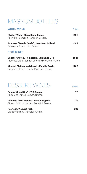## MAGNUM BOTTLES

| <b>WHITE WINES</b>                                                                                    | 1,5L |
|-------------------------------------------------------------------------------------------------------|------|
| "Ovilos" White, Ktima Biblia Chora.<br>Assyrtiko - Sémillon. Pangeon, Greece.                         | 142€ |
| Sancerre "Grande Cuvée", Jean-Paul Balland.<br>Sauvignon Blanc. Loire, France.                        | 169€ |
| <b>ROSÉ WINES</b>                                                                                     |      |
| <b>Bandol "Château Romassan", Domaines OTT.</b><br>Provence blend. Bandol, Côtes de Provence, France. | 194€ |
| Miraval, Château de Miraval - Famille Perrin.<br>Provence blend. Côtes de Provence, France.           | 170€ |

### DESSERT WINES

| <b>Samos "Grand Cru", UWC Samos.</b><br>Muscat of Samos. Samos, Greece.<br>Vinsanto "First Release", Estate Argyros.<br>Aidani - Athiri - Assyrtiko. Santorini, Greece. | 7€<br>18€ |
|-------------------------------------------------------------------------------------------------------------------------------------------------------------------------|-----------|
|                                                                                                                                                                         |           |

50ML